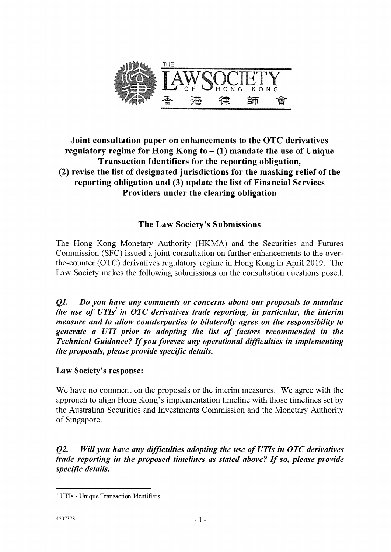

# **Joint consultation paper on enhancements to the OTC derivatives regulatory regime for Hong Kong to — (1) mandate the use of Unique Transaction Identifiers for the reporting obligation, (2) revise the list of designated jurisdictions for the masking relief of the reporting obligation and (3) update the list of Financial Services Providers under the clearing obligation**

# **The Law Society's Submissions**

The Hong Kong Monetary Authority (HKMA) and the Securities and Futures Commission (SFC) issued a joint consultation on further enhancements to the overthe-counter (OTC) derivatives regulatory regime in Hong Kong in April 2019. The Law Society makes the following submissions on the consultation questions posed.

01. *Do you have any comments or concerns about our proposals to mandate the use of UTIs' in OTC derivatives trade reporting, in particular, the interim measure and to allow counterparties to bilaterally agree on the responsibility to generate a UTI prior to adopting the list of factors recommended in the Technical Guidance? If you foresee any operational difficulties in implementing the proposals, please provide specific details.* 

## Law Society's response:

We have no comment on the proposals or the interim measures. We agree with the approach to align Hong Kong's implementation timeline with those timelines set by the Australian Securities and Investments Commission and the Monetary Authority of Singapore.

*Q2. Will you have any difficulties adopting the use of UTIs in OTC derivatives trade reporting in the proposed timelines as stated above? If so, please provide specific details.* 

<sup>&</sup>lt;sup>1</sup> UTIs - Unique Transaction Identifiers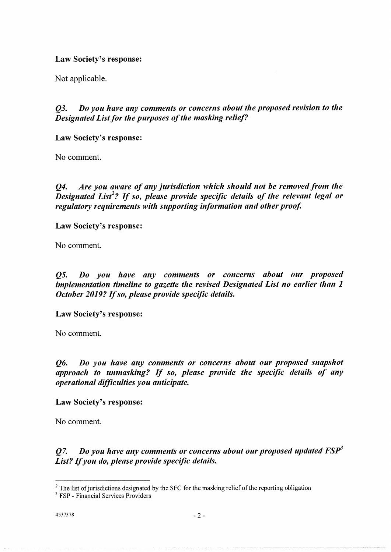### Law Society's response:

Not applicable.

*Q3. Do you have any comments or concerns about the proposed revision to the Designated List for the purposes of the masking relief?* 

Law Society's response:

No comment.

*Q4. Are you aware of any jurisdiction which should not be removed from the*  Designated List<sup>2</sup>? If so, please provide specific details of the relevant legal or *regulatory requirements with supporting information and other proof* 

Law Society's response:

No comment.

*Q5. Do you have any comments or concerns about our proposed implementation timeline to gazette the revised Designated List no earlier than 1 October 2019? If so, please provide specific details.* 

Law Society's response:

No comment.

*Q6. Do you have any comments or concerns about our proposed snapshot approach to unmasking? If so, please provide the specific details of any operational difficulties you anticipate.* 

Law Society's response:

No comment.

*Q7. Do you have any comments or concerns about our proposed updated FSP3 List? If you do, please provide specific details.* 

<sup>&</sup>lt;sup>2</sup> The list of jurisdictions designated by the SFC for the masking relief of the reporting obligation

<sup>&</sup>lt;sup>3</sup> FSP - Financial Services Providers